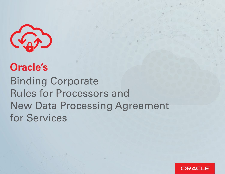

## **Oracle's**

Binding Corporate Rules for Processors and New Data Processing Agreement for Services

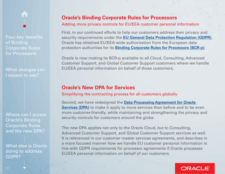What changes can I expect to see?

Where can I access Oracle's Binding Corporate Rules and the new DPA?

What else is Oracle doing to address GDPR?

#### **Oracle's Binding Corporate Rules for Processors**

#### Adding more privacy controls for EU/EEA customer personal information

First, in our continued efforts to help our customers address their privacy and security requirements under the **[EU General Data Protection Regulation \(GDPR\)](http://ec.europa.eu/justice/data-protection/)**, Oracle has obtained EU/EEA-wide authorization from the European data protection authorities for its **[Binding Corporate Rules for Processors \(BCR-p\)](https://www.oracle.com/corporate/contracts/cloud-services/contracts.html#data-processing)**.

Oracle is now making its BCR-p available to all Cloud, Consulting, Advanced Customer Support, and Global Customer Support customers where we handle EU/EEA personal information on behalf of those customers.

#### **Oracle's New DPA for Services**

Simplifying the contracting process for all customers globally

Second, we have redesigned the **[Data Processing Agreement for Oracle](http://www.oracle.com/dataprocessingagreement)  [Services \(DPA\)](http://www.oracle.com/dataprocessingagreement)** to make it apply to more services than before and to be even more customer-friendly, while maintaining and strengthening the privacy and security controls for customers around the globe.

The new DPA applies not only to the Oracle Cloud, but to Consulting, Advanced Customer Support, and Global Customer Support services as well. It is referenced in our customer master services agreements, and describes in a more focused manner how we handle EU customer personal information in line with GDPR requirements for processor agreements if Oracle processes EU/EEA personal information on behalf of our customers.

### ORACLE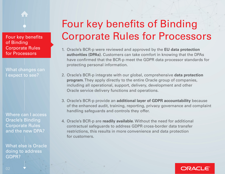What changes can I expect to see?

Where can I access Oracle's Binding Corporate Rules and the new DPA?

What else is Oracle doing to address GDPR?

# Four key benefits of Binding Corporate Rules for Processors

- 1. Oracle's BCR-p were reviewed and approved by the **EU data protection authorities (DPAs)**. Customers can take comfort in knowing that the DPAs have confrmed that the BCR-p meet the GDPR data processor standards for protecting personal information.
- 2. Oracle's BCR-p integrate with our global, comprehensive **data protection program**. They apply directly to the entire Oracle group of companies, including all operational, support, delivery, development and other Oracle service delivery functions and operations.
- 3. Oracle's BCR-p provide an **additional layer of GDPR accountability** because of the enhanced audit, training, reporting, privacy governance and complaint handling safeguards and controls they offer.
- 4. Oracle's BCR-p are **readily available**. Without the need for additional contractual safeguards to address GDPR cross-border data transfer restrictions, this results in more convenience and data protection for customers.

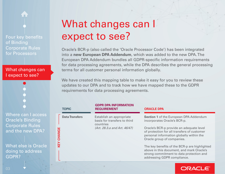#### What changes can I expect to see?

Where can  $I$  a **Oracle's Bindi Corporate Ru** and the new

What else is C doing to addr GDPR?

## What changes can I expect to see?

Oracle's BCR-p (also called the 'Oracle Processor Code') has been integrated into a **new European DPA Addendum**, which was added to the new DPA. The European DPA Addendum bundles all GDPR-specific information requirements for data processing agreements, while the DPA describes the general processing terms for all customer personal information globally.

We have created this mapping table to make it easy for you to review these updates to our DPA and to track how we have mapped these to the GDPR requirements for data processing agreements.

|                      | <b>TOPIC</b>          | <b>GDPR DPA INFORMATION</b><br><b>REQUIREMENT</b>                     | <b>ORACLE DPA</b>                                                                                                                                                     |
|----------------------|-----------------------|-----------------------------------------------------------------------|-----------------------------------------------------------------------------------------------------------------------------------------------------------------------|
| ccess<br>ng          | <b>Data Transfers</b> | Establish an appropriate<br>basis for transfers to third<br>countries | <b>Section 1 of the European DPA Addendum</b><br>incorporates Oracle's BCR-p.                                                                                         |
| es<br><b>PA?</b>     | CHANGE                | (Art. 28.3.a and Art. 46/47)                                          | Oracle's BCR-p provide an adequate level<br>of protection for all transfers of customer<br>personal information globally within the<br>Oracle group of companies.     |
| )racle<br><b>ess</b> | KEY                   |                                                                       | The key benefits of the BCR-p are highlighted<br>above in this document, and mark Oracle's<br>strong commitment to data protection and<br>addressing GDPR compliance. |
|                      |                       |                                                                       |                                                                                                                                                                       |

#### ORACL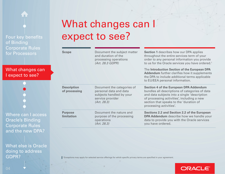What changes can I expect to see?

Where can I access Oracle's Binding Corporate Rules and the new DPA?

What else is Oracle doing to address GDPR?

## What changes can I expect to see?

| <b>Scope</b>                        | Document the subject matter<br>and duration of the<br>processing operations<br>(Art. 28.3 GDPR)                     | <b>Section 1</b> describes how our DPA applies<br>throughout the entire services term of your<br>order to any personal information you provide<br>to us for the Oracle services you have ordered. <sup>1</sup>                                                      |
|-------------------------------------|---------------------------------------------------------------------------------------------------------------------|---------------------------------------------------------------------------------------------------------------------------------------------------------------------------------------------------------------------------------------------------------------------|
|                                     |                                                                                                                     | The Introduction Section of the European DPA<br><b>Addendum</b> further clarifies how it supplements<br>the DPA to include additional terms applicable<br>to EU/EEA personal information.                                                                           |
| <b>Description</b><br>of processing | Document the categories of<br>personal data and data<br>subjects handled by your<br>service provider<br>(Art. 28.3) | <b>Section 4 of the European DPA Addendum</b><br>bundles all descriptions of categories of data<br>and data subjects into a single 'description<br>of processing activities', including a new<br>section that speaks to the 'duration of<br>processing activities'. |
| <b>Purpose</b><br><b>limitation</b> | Document the nature and<br>purpose of the processing<br>operations<br>(Art. 28.3)                                   | <b>Sections 2.2 and Section 2.2 of the European</b><br><b>DPA Addendum</b> describe how we handle your<br>data to provide you with the Oracle services<br>you have ordered.                                                                                         |

**1** Exceptions may apply for selected service offerings for which specifc privacy terms are specifed in your agreement.

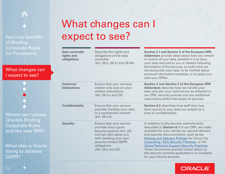What changes can I expect to see?

Where can I access Oracle's Binding Corporate Rules and the new DPA?

What else is Oracle doing to address GDPR?

## What changes can I expect to see?

| Data controller<br>rights and<br>obligations | Describe the rights and<br>obligations of the data<br>controller<br>(Art. 28.3, 28.3.f and 35-36)                                                                                               | <b>Section 2.1 and Section 5 of the European DPA</b><br>Addendum provide detail about how you remain<br>in control of your data, whether it is to have<br>your data returned to you or deleted following<br>termination of the services, to audit what we<br>are doing with your data, to be notified about<br>personal information breaches, or to assist you<br>with your DPIAs.                                                                                              |
|----------------------------------------------|-------------------------------------------------------------------------------------------------------------------------------------------------------------------------------------------------|---------------------------------------------------------------------------------------------------------------------------------------------------------------------------------------------------------------------------------------------------------------------------------------------------------------------------------------------------------------------------------------------------------------------------------------------------------------------------------|
| <b>Customer</b><br><b>instructions</b>       | Ensure that your services<br>vendor only acts on your<br>written instructions<br>(Art. 28.3.a and 29)                                                                                           | <b>Section 2 and Section 3 of the European DPA</b><br>Addendum describe how we handle your<br>data only per your instructions as reflected in<br>our DPA, security policies and any additional<br>instructions within the scope of services.                                                                                                                                                                                                                                    |
| <b>Confidentiality</b>                       | Ensure that your service<br>provider handles your data<br>in a confidential manner<br>(Art. 28.3.b)                                                                                             | Section 6.2 describes how staff that may<br>have access to your data are subject to a<br>duty of confidentiality.                                                                                                                                                                                                                                                                                                                                                               |
| <b>Security</b>                              | Ensure that your service<br>provider has a good<br>security posture (Art. 32)<br>and can also assist you<br>with meeting your own<br>security-related GDPR<br>obligations<br>(Art. 28.e and 32) | In addition to the security commitments<br>described in Section 6.1 of our DPA, we make<br>available for your review our service delivery<br>and security documentation, such as the<br><b>Hosting and Delivery Policies for Cloud, the</b><br>Consulting / ACS Security Practices, or the<br><b>Global Technical Support Security Practices.</b><br>These documents provide further detail on<br>the security controls applicable to or available<br>for your Oracle services. |

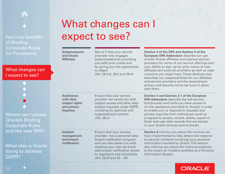What changes can I expect to see?

Where can I access Oracle's Binding Corporate Rules and the new DPA?

What else is Oracle doing to address GDPR?

## What changes can I expect to see?

| <b>Subprocessors</b><br>and Oracle<br><b>Affiliates</b>                      | See to it that your service<br>provider only engages<br>subprocessors by providing<br>you with prior notice and<br>by giving you the opportunity<br>to object<br>(Art. 28.3.d, 28.2 and 28.4)                                                        | Section 4 of the DPA and Section 4 of the<br>European DPA Addendum describe our use<br>of both Oracle affiliates and external service<br>providers for some of our service offerings and<br>your ability to sign up for prior notice of new<br>affiliates and external providers as well as raise<br>concerns you might have. These Sections also<br>describes our responsibilities for our affiliates<br>and service providers and the downstream<br>privacy and security terms we have in place<br>with them. |
|------------------------------------------------------------------------------|------------------------------------------------------------------------------------------------------------------------------------------------------------------------------------------------------------------------------------------------------|-----------------------------------------------------------------------------------------------------------------------------------------------------------------------------------------------------------------------------------------------------------------------------------------------------------------------------------------------------------------------------------------------------------------------------------------------------------------------------------------------------------------|
| <b>Assistance</b><br>with data<br>subject rights<br>and privacy<br>inquiries | Ensure that your service<br>provider can assist you with<br>subject access and other data<br>subject requests under GDPR,<br>including by technical and<br>organizational controls<br>(Art. 28.e)                                                    | <b>Section 3 and Section 3.1 of the European</b><br><b>DPA Addendum</b> describe the self-service<br>functionality and tools you have access to<br>(or the assistance provided by Oracle) in order<br>to enable you to respond to requests and<br>privacy inquiries from individuals (such as<br>a request to access, correct, delete, export or<br>block end-user data records that are stored<br>in your Oracle services environment).                                                                        |
| <b>Incident</b><br>management<br>and breach<br>notification                  | Ensure that your service<br>provider has a personal data<br>breach notification program<br>and can also assist you with<br>meeting your own personal<br>data breach notification duties<br>to regulators and individuals<br>(Art. 28.3f and 33 – 34) | Section 8 informs you about the controls we<br>have implemented to help detect and respond<br>to security incidents involving your personal<br>information handled by Oracle. This section<br>also informs you about the notice procedures<br>to the extent an incident qualifies as a Personal<br><b>Information Breach.</b>                                                                                                                                                                                   |

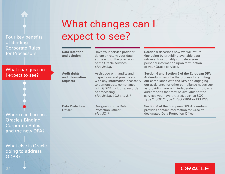What changes can I expect to see?

Where can I access Oracle's Binding Corporate Rules and the new DPA?

What else is Oracle doing to address GDPR?

## What changes can I expect to see?

| <b>Data retention</b><br>and deletion              | Have your service provider<br>delete or return your data<br>at the end of the provision<br>of the Oracle services<br>(Art. 28.3.9)                                                                      | <b>Section 9 describes how we will return</b><br>(including by providing available data<br>retrieval functionality) or delete your<br>personal information upon termination<br>of your Oracle services.                                                                                                                                                                                         |
|----------------------------------------------------|---------------------------------------------------------------------------------------------------------------------------------------------------------------------------------------------------------|-------------------------------------------------------------------------------------------------------------------------------------------------------------------------------------------------------------------------------------------------------------------------------------------------------------------------------------------------------------------------------------------------|
| <b>Audit rights</b><br>and information<br>requests | Assist you with audits and<br>inspections and provide you<br>with any information necessary<br>to demonstrate compliance<br>with GDPR, including records<br>of processing<br>(Art. 28.3.g. 30.2 and 31) | <b>Section 6 and Section 5 of the European DPA</b><br><b>Addendum</b> describe the process for auditing<br>our compliance with the DPA and engaging<br>our assistance for other compliance needs such<br>as providing you with independent third-party<br>audit reports that may be available for the<br>services you have ordered, such as SOC 1<br>Type 2, SOC 2Type 2, ISO 27001 or PCI DSS. |
| <b>Data Protection</b><br><b>Officer</b>           | Designation of a Data<br><b>Protection Officer</b><br>(Art. 37.1)                                                                                                                                       | <b>Section 6 of the European DPA Addendum</b><br>provides contact information for Oracle's<br>designated Data Protection Officer.                                                                                                                                                                                                                                                               |

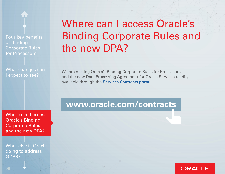What changes can I expect to see?

## Where can I access Oracle's Binding Corporate Rules and the new DPA?

We are making Oracle's Binding Corporate Rules for Processors and the new Data Processing Agreement for Oracle Services readily available through the **[Services Contracts portal](https://www.oracle.com/corporate/contracts/cloud-services/contracts.html#data-processing)**.

Where can I access Oracle's Binding Corporate Rules and the new DPA?

What else is Oracle doing to address GDPR?

### **www.oracle.com/contracts**

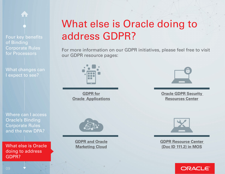What changes can I expect to see?

Where can I access Oracle's Binding Corporate Rules and the new DPA?

What else is Oracle doing to address GDPR?

# What else is Oracle doing to address GDPR?

For more information on our GDPR initiatives, please feel free to visit our GDPR resource pages:



**GDPR** for **Oracle Applications** 



**[Oracle GDPR Security](https://www.oracle.com/uk/corporate/features/gdpr.html)  Resources Center** 



**[GDPR and Oracle](https://www.oracle.com/marketingcloud/about/events/gdpr.html)  Marketing Cloud** 



**[GDPR Resource Center](https://www.oracle.com/marketingcloud/about/events/gdpr.html)  [\(Doc ID 111.2\) in MOS](https://support.oracle.com/epmos/faces/DocumentDisplay?_afrLoop=173509976206931&parent=DOCUMENT&sourceId=111.2&id=111.2+&_afrWindowMode=0&_adf.ctrl-state=1dqie52iv6_45)**